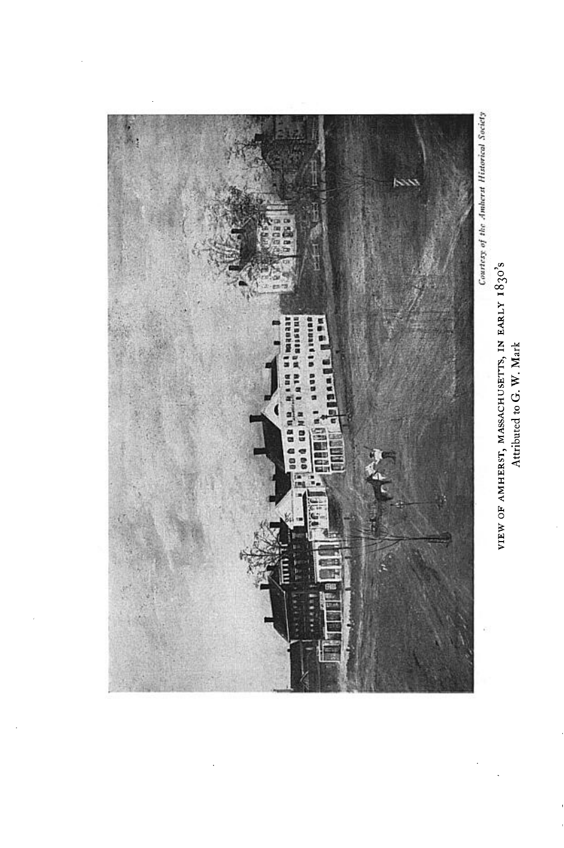

VIEW OF AMHERST, MASSACHUSETTS, IN EARLY 1830's<br>Attributed to G. W. Mark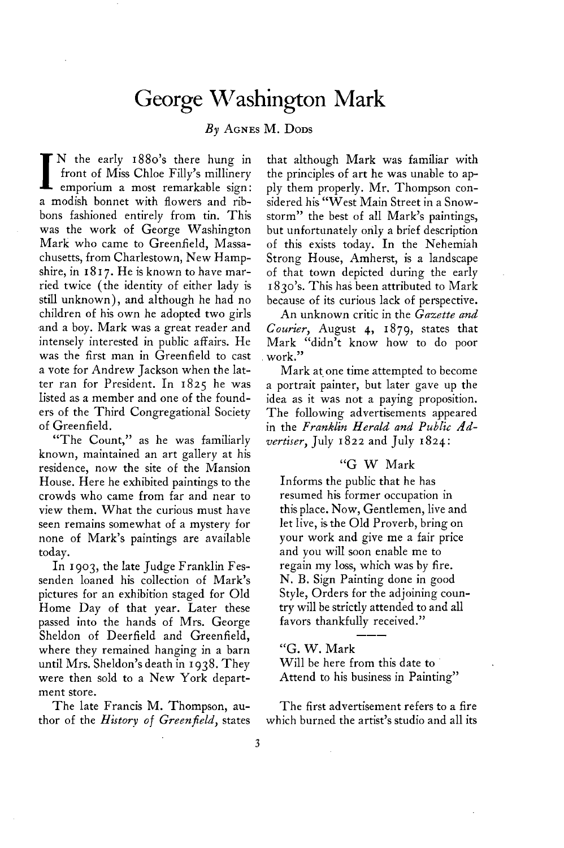## **George Washington Mark**

## **By AGNES M. DODS**

**I** N the early 1880's there hung in front of Miss Chloe Filly's millinery emporium a most remarkable sign: **front of Miss Chloe Filly's millinery a modish bonnet with flowers and ribbons fashioned entirely from tin. This was the work of George Washington Mark who came to Greenfield, Massachusetts, from Charlestown, New Hamp**shire, in 1817. He is known to have mar**ried twice (the identity of either lady is still unknown), and although he had no children of his own he adopted two girls ,and a boy. Mark was a great reader and intensely interested in public affairs. He was the first man in Greenfield to cast a vote for Andrew Jackson when the latter ran for President. In 1825 he was listed as a member and one of the founders of the Third Congregational Society of Greenfield.** 

**"The Count," as he was familiarly known, maintained an art gallery at his residence, now the site of the Mansion House. Here he exhibited paintings to the crowds who came from far and near to view them. What the curious must have seen remains somewhat of a mystery for none of Mark's paintings are available today.** 

**In 1903, the late Judge Franklin Fessenden loaned his collection of Mark's pictures for an exhibition staged for Old Home Day of that year. Later these passed into the hands of Mrs. George Sheldon of Deerfield and Greenfield, where they remained hanging in a barn until Mrs. Sheldon's death in I 938. They were then sold to a New York department store.** 

**The late Francis M. Thompson, author of the History of Greenfield, states** 

**that although Mark was familiar with the principles of art he was unable to apply them properly. Mr. Thompson considered his "West Main Street in a Snowstorm" the best of all Mark's paintings, but unfortunately only a brief description of this exists today. In the Nehemiah Strong House, Amherst, is a landscape of that town depicted during the early I 830's. This has been attributed to Mark because of its curious lack of perspective.** 

**An unknown critic in the Gazette and Courier, August 4, 1879, states that Mark "didn't know how to do poor work."** 

**Mark at. one time attempted to become a portrait painter, but later gave up the idea as it was not a paying proposition. The following advertisements appeared in the Franklin Herald and Public Advertiser, July 1822 and July 1824:** 

## **"G W Mark**

**Informs the public that he has resumed his former occupation in this place. Now, Gentlemen, live and let live, is the Old Proverb, bring on your work and give me a fair price and you will soon enable me to regain my loss, which was by fire. N. B. Sign Painting done in good Style, Orders for the adjoining country will be strictly attended to and all favors thankfully received."** 

**"G. W. Mark Will be here from this date to Attend to his business in Painting"** 

**---** 

**The first advertisement refers to a fire which burned the artist's studio and all its**